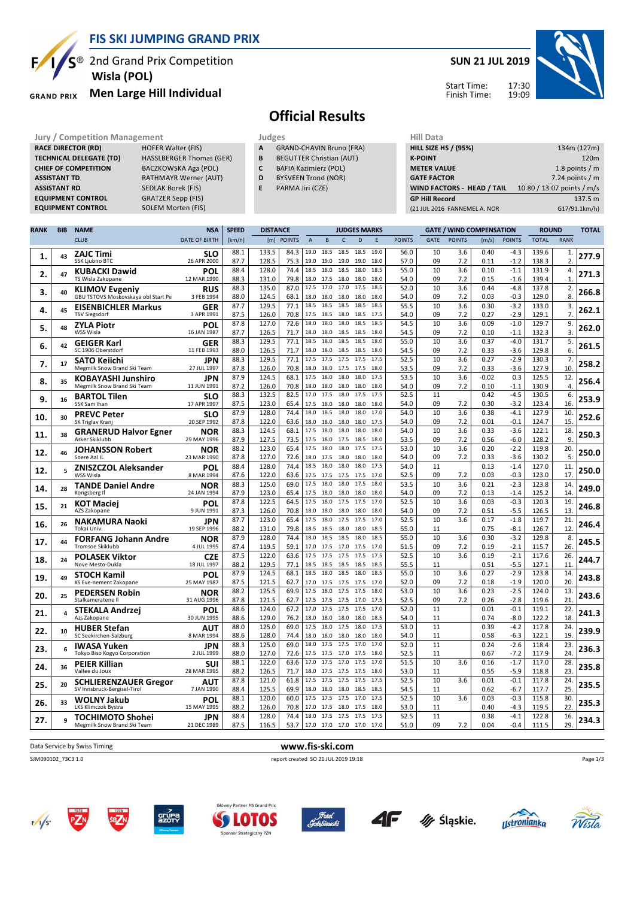

**EQUIPMENT CONTROL** 

### **FIS SKI JUMPING GRAND PRIX**

<sup>®</sup> 2nd Grand Prix Competition  **Wisla (POL)**

#### **Men Large Hill Individual GRAND PRIX**

**RACE DIRECTOR (RD)** HOFER Walter (FIS) **TECHNICAL DELEGATE (TD)** HASSLBERGER Thomas (GER) **CHIEF OF COMPETITION** BACZKOWSKA Aga (POL) **ASSISTANT TD** RATHMAYR Werner (AUT) **ASSISTANT RD** SEDLAK Borek (FIS)<br>**EQUIPMENT CONTROL** GRATZER Sepp (FIS)

**EQUIPMENT CONTROL** SOLEM Morten (FIS)

### **SUN 21 JUL 2019**



Start Time: Finish Time:

## **Official Results**

**Jury / Competition Management development development of the Judges of American Hill Data** 

- **A** GRAND-CHAVIN Bruno (FRA)
- **B** BEGUTTER Christian (AUT) **C** BAFIA Kazimierz (POL)
- **D** BYSVEEN Trond (NOR)
- **E** PARMA Jiri (CZE)

| niil Ddtd                    |                            |
|------------------------------|----------------------------|
| <b>HILL SIZE HS / (95%)</b>  | 134m (127m)                |
| <b>K-POINT</b>               | 120 <sub>m</sub>           |
| <b>METER VALUE</b>           | 1.8 points $/m$            |
| <b>GATE FACTOR</b>           | 7.24 points $/m$           |
| WIND FACTORS - HEAD / TAIL   | 10.80 / 13.07 points / m/s |
| <b>GP Hill Record</b>        | 137.5 m                    |
| (21 JUL 2016 FANNEMEL A. NOR | G17/91.1km/h)              |
|                              |                            |

| <b>RANK</b> | <b>BIB</b> | <b>NAME</b>                                                  | <b>NSA</b>                | <b>SPEED</b> | <b>DISTANCE</b> |               |                |                     |              | <b>JUDGES MARKS</b> |              |               |             | <b>GATE / WIND COMPENSATION</b> |                 |                  | <b>ROUND</b>   |                    | <b>TOTAL</b> |
|-------------|------------|--------------------------------------------------------------|---------------------------|--------------|-----------------|---------------|----------------|---------------------|--------------|---------------------|--------------|---------------|-------------|---------------------------------|-----------------|------------------|----------------|--------------------|--------------|
|             |            | <b>CLUB</b>                                                  | <b>DATE OF BIRTH</b>      | [km/h]       | [m]             | <b>POINTS</b> | $\overline{A}$ | B                   | $\mathsf{C}$ | D                   | F            | <b>POINTS</b> | <b>GATE</b> | <b>POINTS</b>                   | [m/s]           | <b>POINTS</b>    | <b>TOTAL</b>   | <b>RANK</b>        |              |
| 1.          | 43         | <b>ZAJC Timi</b><br>SSK Ljubno BTC                           | SLO<br>26 APR 2000        | 88.1<br>87.7 | 133.5<br>128.5  | 84.3<br>75.3  | 19.0<br>19.0   | 18.5<br>19.0        | 18.5<br>19.0 | 18.5<br>19.0        | 19.0<br>18.0 | 56.0<br>57.0  | 10<br>09    | 3.6<br>7.2                      | 0.40<br>0.11    | $-4.3$<br>$-1.2$ | 139.6<br>138.3 | 1.<br>2.           | 277.9        |
| 2.          | 47         | KUBACKI Dawid<br>TS Wisla Zakopane                           | POL<br>12 MAR 1990        | 88.4<br>88.3 | 128.0<br>131.0  | 74.4<br>79.8  | 18.0           | 18.5 18.0<br>17.5   | 18.5<br>18.0 | 18.0<br>18.0        | 18.5<br>18.0 | 55.0<br>54.0  | 10<br>09    | 3.6<br>7.2                      | 0.10<br>0.15    | $-1.1$<br>$-1.6$ | 131.9<br>139.4 | 4.<br>$\mathbf{1}$ | 271.3        |
| 3.          | 40         | <b>KLIMOV Evgeniy</b><br>GBU TSTOVS Moskovskaya obl Start Pe | <b>RUS</b><br>3 FEB 1994  | 88.3<br>88.0 | 135.0<br>124.5  | 87.0<br>68.1  | 17.5<br>18.0   | 17.0<br>18.0        | 17.0<br>18.0 | 17.5<br>18.0        | 18.5<br>18.0 | 52.0<br>54.0  | 10<br>09    | 3.6<br>7.2                      | 0.44<br>0.03    | $-4.8$<br>$-0.3$ | 137.8<br>129.0 | 2.<br>8.           | 266.8        |
| 4.          | 45         | <b>EISENBICHLER Markus</b>                                   | <b>GER</b>                | 87.7         | 129.5           | 77.1          | 18.5           | 18.5                | 18.5         | 18.5                | 18.5         | 55.5          | 10          | 3.6                             | 0.30            | $-3.2$           | 133.0          | 3.                 | 262.1        |
| 5.          | 48         | <b>TSV Siegsdorf</b><br><b>ZYLA Piotr</b>                    | 3 APR 1991<br>POL         | 87.5<br>87.8 | 126.0<br>127.0  | 70.8<br>72.6  | 17.5<br>18.0   | 18.5<br>18.0        | 18.0<br>18.0 | 18.5<br>18.5        | 17.5<br>18.5 | 54.0<br>54.5  | 09<br>10    | 7.2<br>3.6                      | 0.27<br>0.09    | $-2.9$<br>$-1.0$ | 129.1<br>129.7 | 7.<br>9.           | 262.0        |
| 6.          | 42         | WSS Wisla<br><b>GEIGER Karl</b>                              | 16 JAN 1987<br>GER        | 87.7<br>88.3 | 126.5<br>129.5  | 71.7<br>77.1  | 18.0<br>18.5   | 18.0<br>18.0        | 18.5<br>18.5 | 18.5<br>18.5        | 18.0<br>18.0 | 54.5<br>55.0  | 09<br>10    | 7.2<br>3.6                      | 0.10<br>0.37    | $-1.1$<br>$-4.0$ | 132.3<br>131.7 | 3.<br>5.           | 261.5        |
|             |            | SC 1906 Oberstdorf<br><b>SATO Keiichi</b>                    | 11 FEB 1993<br>JPN        | 88.0<br>88.3 | 126.5<br>129.5  | 71.7<br>77.1  | 18.0<br>17.5   | 18.0<br>17.5        | 18.5<br>17.5 | 18.5<br>17.5        | 18.0<br>17.5 | 54.5<br>52.5  | 09<br>10    | 7.2<br>3.6                      | 0.33<br>0.27    | $-3.6$<br>$-2.9$ | 129.8<br>130.3 | 6.<br>7.           |              |
| 7.          | 17         | Megmilk Snow Brand Ski Team                                  | 27 JUL 1997               | 87.8         | 126.0           | 70.8          | 18.0           | 18.0                | 17.5         | 17.5                | 18.0         | 53.5          | 09          | 7.2                             | 0.33            | $-3.6$           | 127.9          | 10.                | 258.2        |
| 8.          | 35         | <b>KOBAYASHI Junshiro</b><br>Megmilk Snow Brand Ski Team     | JPN<br>11 JUN 1991        | 87.9<br>87.2 | 124.5<br>126.0  | 68.1<br>70.8  | 17.5<br>18.0   | 18.0<br>18.0        | 18.0<br>18.0 | 18.0<br>18.0        | 17.5<br>18.0 | 53.5<br>54.0  | 10<br>09    | 3.6<br>7.2                      | $-0.02$<br>0.10 | 0.3<br>$-1.1$    | 125.5<br>130.9 | 12.<br>4.          | 256.4        |
| 9.          | 16         | <b>BARTOL Tilen</b><br>SSK Sam Ihan                          | <b>SLO</b><br>17 APR 1997 | 88.3<br>87.5 | 132.5<br>123.0  | 82.5<br>65.4  | 17.0           | 17.5<br>17.5 18.0   | 18.0<br>18.0 | 17.5<br>18.0        | 17.5<br>18.0 | 52.5<br>54.0  | 11<br>09    | 7.2                             | 0.42<br>0.30    | $-4.5$<br>$-3.2$ | 130.5<br>123.4 | 6.<br>16.          | 253.9        |
| 10          | 30         | <b>PREVC Peter</b><br>SK Triglav Kranj                       | <b>SLO</b><br>20 SEP 1992 | 87.9<br>87.8 | 128.0<br>122.0  | 74.4<br>63.6  | 18.0<br>18.0   | 18.5<br>18.0        | 18.0<br>18.0 | 18.0<br>18.0        | 17.0<br>17.5 | 54.0<br>54.0  | 10<br>09    | 3.6<br>7.2                      | 0.38<br>0.01    | $-4.1$<br>$-0.1$ | 127.9<br>124.7 | 10.<br>15.         | 252.6        |
| 11.         | 38         | <b>GRANERUD Halvor Egner</b>                                 | <b>NOR</b>                | 88.3         | 124.5           | 68.1          | 17.5           | 18.0                | 18.0         | 18.0                | 18.0         | 54.0          | 10          | 3.6                             | 0.33            | $-3.6$           | 122.1          | 18.                | 250.3        |
| 12.         | 46         | Asker Skiklubb<br><b>JOHANSSON Robert</b>                    | 29 MAY 1996<br><b>NOR</b> | 87.9<br>88.2 | 127.5<br>123.0  | 73.5<br>65.4  | 17.5<br>17.5   | 18.0<br>18.0        | 17.5<br>18.0 | 18.5<br>17.5        | 18.0<br>17.5 | 53.5<br>53.0  | 09<br>10    | 7.2<br>3.6                      | 0.56<br>0.20    | $-6.0$<br>$-2.2$ | 128.2<br>119.8 | 9.<br>20.          | 250.0        |
|             | 5          | Soere Aal IL<br><b>ZNISZCZOL Aleksander</b>                  | 23 MAR 1990<br>POL        | 87.8<br>88.4 | 127.0<br>128.0  | 72.6<br>74.4  | 18.5           | 18.0 17.5<br>18.0   | 18.0<br>18.0 | 18.0<br>18.0        | 18.0<br>17.5 | 54.0<br>54.0  | 09<br>11    | 7.2                             | 0.33<br>0.13    | $-3.6$<br>$-1.4$ | 130.2<br>127.0 | 5.<br>11.          |              |
| 12.         |            | WSS Wisla                                                    | 8 MAR 1994                | 87.6<br>88.3 | 122.0<br>125.0  | 63.6<br>69.0  | 17.5<br>17.5   | 17.5<br>18.0        | 17.5<br>18.0 | 17.5<br>17.5        | 17.0<br>18.0 | 52.5<br>53.5  | 09<br>10    | 7.2<br>3.6                      | 0.03<br>0.21    | $-0.3$<br>$-2.3$ | 123.0<br>123.8 | 17.<br>14.         | 250.0        |
| 14.         | 28         | <b>TANDE Daniel Andre</b><br>Kongsberg If                    | <b>NOR</b><br>24 JAN 1994 | 87.9         | 123.0           | 65.4          |                | 17.5 18.0           | 18.0         | 18.0                | 18.0         | 54.0          | 09          | 7.2                             | 0.13            | $-1.4$           | 125.2          | 14.                | 249.0        |
| 15.         | 21         | KOT Maciej<br>AZS Zakopane                                   | POL<br>9 JUN 1991         | 87.8<br>87.3 | 122.5<br>126.0  | 64.5<br>70.8  | 17.5           | 18.0<br>18.0 18.0   | 17.5<br>18.0 | 17.5<br>18.0        | 17.0<br>18.0 | 52.5<br>54.0  | 10<br>09    | 3.6<br>7.2                      | 0.03<br>0.51    | $-0.3$<br>$-5.5$ | 120.3<br>126.5 | 19.<br>13          | 246.8        |
| 16.         | 26         | <b>NAKAMURA Naoki</b><br>Tokai Univ.                         | JPN<br>19 SEP 1996        | 87.7<br>88.2 | 123.0<br>131.0  | 65.4<br>79.8  | 17.5<br>18.5   | 18.0<br>18.5        | 17.5<br>18.0 | 17.5<br>18.0        | 17.0<br>18.5 | 52.5<br>55.0  | 10<br>11    | 3.6                             | 0.17<br>0.75    | $-1.8$<br>$-8.1$ | 119.7<br>126.7 | 21.<br>12.         | 246.4        |
| 17.         | 44         | <b>FORFANG Johann Andre</b><br><b>Tromsoe Skiklubb</b>       | <b>NOR</b><br>4 JUL 1995  | 87.9<br>87.4 | 128.0<br>119.5  | 74.4<br>59.1  | 18.0           | 18.5<br>17.0 17.5   | 18.5<br>17.0 | 18.0<br>17.5        | 18.5<br>17.0 | 55.0<br>51.5  | 10<br>09    | 3.6<br>7.2                      | 0.30<br>0.19    | $-3.2$<br>$-2.1$ | 129.8<br>115.7 | 8.<br>26           | 245.5        |
| 18          | 24         | <b>POLASEK Viktor</b><br>Nove Mesto-Dukla                    | <b>CZE</b><br>18 JUL 1997 | 87.5<br>88.2 | 122.0<br>129.5  | 63.6<br>77.1  | 17.5<br>18.5   | 17.5<br>18.5        | 17.5<br>18.5 | 17.5<br>18.5        | 17.5<br>18.5 | 52.5<br>55.5  | 10<br>11    | 3.6                             | 0.19<br>0.51    | $-2.1$<br>$-5.5$ | 117.6<br>127.1 | 26.<br>11          | 244.7        |
| 19.         | 49         | <b>STOCH Kamil</b>                                           | POL                       | 87.9         | 124.5           | 68.1          | 18.5           | 18.0                | 18.5         | 18.0                | 18.5         | 55.0          | 10          | 3.6                             | 0.27            | $-2.9$           | 123.8          | 14.<br>20.         | 243.8        |
| 20.         | 25         | KS Eve-nement Zakopane<br><b>PEDERSEN Robin</b>              | 25 MAY 1987<br><b>NOR</b> | 87.5<br>88.2 | 121.5<br>125.5  | 62.7<br>69.9  | 17.0<br>17.5   | 17.5<br>18.0        | 17.5<br>17.5 | 17.5<br>17.5        | 17.0<br>18.0 | 52.0<br>53.0  | 09<br>10    | 7.2<br>3.6                      | 0.18<br>0.23    | $-1.9$<br>$-2.5$ | 120.0<br>124.0 | 13.                | 243.6        |
| 21.         | 4          | Stalkameratene II<br><b>STEKALA Andrzej</b>                  | 31 AUG 1996<br>POL        | 87.8<br>88.6 | 121.5<br>124.0  | 62.7<br>67.2  | 17.5<br>17.0   | 17.5<br>17.5        | 17.5<br>17.5 | 17.0<br>17.5        | 17.5<br>17.0 | 52.5<br>52.0  | 09<br>11    | 7.2                             | 0.26<br>0.01    | $-2.8$<br>$-0.1$ | 119.6<br>119.1 | 21<br>22.          | 241.3        |
|             |            | Azs Zakopane<br><b>HUBER Stefan</b>                          | 30 JUN 1995<br>AUT        | 88.6<br>88.0 | 129.0<br>125.0  | 76.2<br>69.0  | 18.0<br>17.5   | 18.0<br>18.0 17.5   | 18.0         | 18.0<br>18.0        | 18.5<br>17.5 | 54.0<br>53.0  | 11<br>11    |                                 | 0.74<br>0.39    | $-8.0$<br>$-4.2$ | 122.2<br>117.8 | 18<br>24.          |              |
| 22.         | 10         | SC Seekirchen-Salzburg                                       | 8 MAR 1994                | 88.6         | 128.0           | 74.4          | 18.0           | 18.0                | 18.0         | 18.0                | 18.0         | 54.0          | 11          |                                 | 0.58            | $-6.3$           | 122.1          | 19                 | 239.9        |
| 23.         | 6          | <b>IWASA Yuken</b><br>Tokyo Biso Kogyo Corporation           | JPN<br>2 JUL 1999         | 88.3<br>88.0 | 125.0<br>127.0  | 69.0<br>72.6  | 18.0<br>17.5   | 17.5<br>17.5        | 17.5<br>17.0 | 17.0<br>17.5        | 17.0<br>18.0 | 52.0<br>52.5  | 11<br>11    |                                 | 0.24<br>0.67    | $-2.6$<br>$-7.2$ | 118.4<br>117.9 | 23<br>24           | 236.3        |
| 24.         | 36         | <b>PEIER Killian</b><br>Vallee du Joux                       | SUI<br>28 MAR 1995        | 88.1<br>88.2 | 122.0<br>126.5  | 63.6<br>71.7  | 17.0<br>18.0   | 17.5<br>17.5        | 17.0<br>17.5 | 17.5<br>17.5        | 17.0<br>18.0 | 51.5<br>53.0  | 10<br>11    | 3.6                             | 0.16<br>0.55    | $-1.7$<br>$-5.9$ | 117.0<br>118.8 | 28.<br>23          | 235.8        |
| 25.         | 20         | <b>SCHLIERENZAUER Gregor</b><br>SV Innsbruck-Bergisel-Tirol  | AUT<br>7 JAN 1990         | 87.8<br>88.4 | 121.0<br>125.5  | 61.8<br>69.9  | 17.5<br>18.0   | 17.5<br>18.0        | 17.5<br>18.0 | 17.5<br>18.5        | 17.5<br>18.5 | 52.5<br>54.5  | 10<br>11    | 3.6                             | 0.01<br>0.62    | $-0.1$<br>$-6.7$ | 117.8<br>117.7 | 24<br>25           | 235.5        |
| 26.         | 33         | <b>WOLNY Jakub</b>                                           | POL                       | 88.1         | 120.0           | 60.0          |                | 17.5 17.5 17.5      |              | 17.0                | 17.5         | 52.5          | 10          | 3.6                             | 0.03            | $-0.3$           | 115.8          | 30.<br>22          | 235.3        |
| 27.         |            | LKS Klimczok Bystra<br><b>TOCHIMOTO Shohei</b>               | 15 MAY 1995<br>JPN        | 88.2<br>88.4 | 126.0<br>128.0  | 70.8<br>74.4  | 17.0<br>18.0   | 17.5<br>17.5        | 18.0<br>17.5 | 17.5<br>17.5        | 18.0<br>17.5 | 53.0<br>52.5  | 11<br>11    |                                 | 0.40<br>0.38    | $-4.3$<br>$-4.1$ | 119.5<br>122.8 | 16.                | 234.3        |
|             |            | Megmilk Snow Brand Ski Team                                  | 21 DEC 1989               | 87.5         | 116.5           | 53.7          |                | 17.0 17.0 17.0 17.0 |              |                     | 17.0         | 51.0          | 09          | 7.2                             | 0.04            | $-0.4$           | 111.5          | 29.                |              |

#### Data Service by Swiss Timing **www.fis-ski.com**

 $\sqrt{s}$ 

SJM090102\_73C3 1.0 report created SO 21 JUL 2019 19:18



**SP LOTOS** 

Sponsor Strategiczny PZN









Page 1/3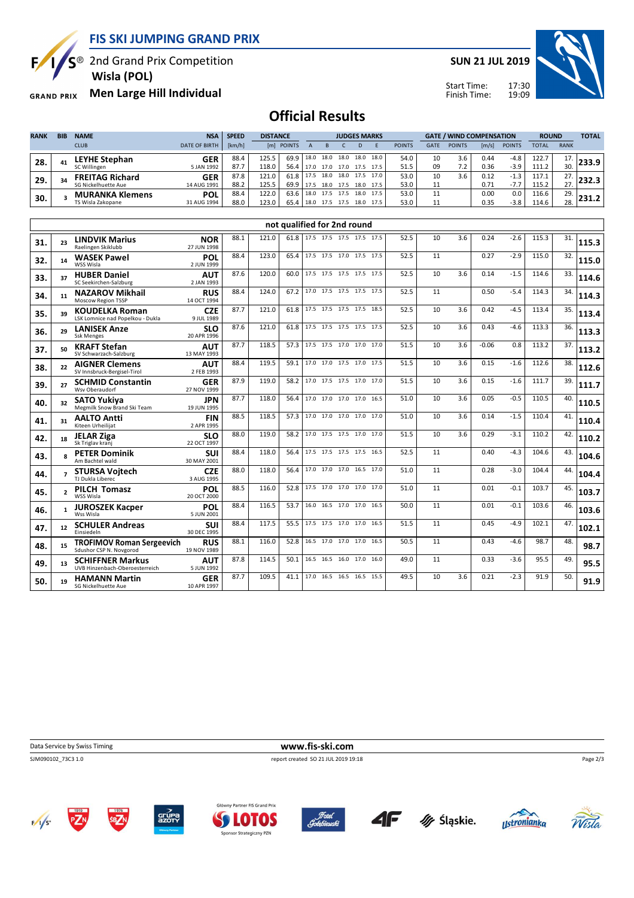**FIS SKI JUMPING GRAND PRIX**

 $S^{\circledast}$  2nd Grand Prix Competition

 **Wisla (POL)**

**Men Large Hill Individual GRAND PRIX** 

Ę

**SUN 21 JUL 2019**



17:30 19:09 Start Time: Finish Time:

# **Official Results**

| <b>RANK</b> | <b>BIB</b>     | <b>NAME</b>            | <b>NSA</b>           | <b>SPEED</b> | <b>DISTANCE</b> |            | <b>JUDGES MARKS</b> |      |           |           |           | <b>GATE / WIND COMPENSATION</b> |             |               |       | <b>ROUND</b>  |              | <b>TOTAL</b> |       |
|-------------|----------------|------------------------|----------------------|--------------|-----------------|------------|---------------------|------|-----------|-----------|-----------|---------------------------------|-------------|---------------|-------|---------------|--------------|--------------|-------|
|             |                | <b>CLUB</b>            | <b>DATE OF BIRTH</b> | [km/h]       |                 | [m] POINTS |                     |      |           |           |           | <b>POINTS</b>                   | <b>GATE</b> | <b>POINTS</b> | [m/s] | <b>POINTS</b> | <b>TOTAL</b> | <b>RANK</b>  |       |
| 28.         | 4 <sub>1</sub> | <b>LEYHE Stephan</b>   | GER                  | 88.4         | 125.5           | 69.9       | 18.0                | 18.0 | 18.0 18.0 |           | 18.0      | 54.0                            | 10          | 3.6           | 0.44  | $-4.8$        | 122.7        |              |       |
|             |                | SC Willingen           | 5 JAN 1992           | 87.7         | 118.0           | 56.4       | 17.0                | 17.0 | 17.0      | 17.5 17.5 |           | 51.5                            | 09          | 7.2           | 0.36  | $-3.9$        | 111.2        | 30.          |       |
| 29.         | 34             | <b>FREITAG Richard</b> | <b>GER</b>           | 87.8         | 121.0           | 61.8       | 17.5                | 18.0 | 18.0      |           | 17.5 17.0 | 53.0                            | 10          | 3.6           | 0.12  | $-1.3$        | 117.1        | 77           | :32.3 |
|             |                | SG Nickelhuette Aue    | 14 AUG 1991          | 88.2         | 125.5           | 69.9       | 17.5                | 18.0 | 17.5      | 18.0 17.5 |           | 53.0                            |             |               | 0.71  | $-1.1$        | 115.2        | 27.          |       |
| 30.         |                | <b>MURANKA Klemens</b> | <b>POL</b>           | 88.4         | 122.0           | 63.6       | 18.0                | 17.5 | 17.5      | 18.0 17.5 |           | 53.0                            | 11          |               | 0.00  | 0.0           | 116.6        | 29.          |       |
|             |                | TS Wisla Zakopane      | 31 AUG 1994          | 88.0         | 123.0           | 65.4       | 18.0                | 17.5 | 17.5      | 18.0 17.5 |           | 53.0                            |             |               | 0.35  | $-3.8$        | 114.6        | 28.          |       |

| 23                       | <b>LINDVIK Marius</b><br>Raelingen Skiklubb                 | <b>NOR</b><br>27 JUN 1998 | 88.1 | 121.0 | 61.8 |  |      | 52.5                                                                                                                                                                                                                                                                                                                                                                                                                                                                                                                                  | 10 | 3.6 | 0.24    | $-2.6$ | 115.3 | 31. | 115.3 |
|--------------------------|-------------------------------------------------------------|---------------------------|------|-------|------|--|------|---------------------------------------------------------------------------------------------------------------------------------------------------------------------------------------------------------------------------------------------------------------------------------------------------------------------------------------------------------------------------------------------------------------------------------------------------------------------------------------------------------------------------------------|----|-----|---------|--------|-------|-----|-------|
| 14                       | <b>WASEK Pawel</b><br>WSS Wisla                             | POL<br>2 JUN 1999         | 88.4 | 123.0 | 65.4 |  |      | 52.5                                                                                                                                                                                                                                                                                                                                                                                                                                                                                                                                  | 11 |     | 0.27    | $-2.9$ | 115.0 | 32. | 115.0 |
| 37                       | <b>HUBER Daniel</b><br>SC Seekirchen-Salzburg               | <b>AUT</b><br>2 JAN 1993  | 87.6 | 120.0 | 60.0 |  | 17.5 | 52.5                                                                                                                                                                                                                                                                                                                                                                                                                                                                                                                                  | 10 | 3.6 | 0.14    | $-1.5$ | 114.6 | 33. | 114.6 |
| 11                       | <b>NAZAROV Mikhail</b><br><b>Moscow Region TSSP</b>         | <b>RUS</b><br>14 OCT 1994 | 88.4 | 124.0 | 67.2 |  |      | 52.5                                                                                                                                                                                                                                                                                                                                                                                                                                                                                                                                  | 11 |     | 0.50    | $-5.4$ | 114.3 | 34. | 114.3 |
| 39                       | <b>KOUDELKA Roman</b><br>LSK Lomnice nad Popelkou - Dukla   | <b>CZE</b><br>9 JUL 1989  | 87.7 | 121.0 | 61.8 |  | 18.5 | 52.5                                                                                                                                                                                                                                                                                                                                                                                                                                                                                                                                  | 10 | 3.6 | 0.42    | $-4.5$ | 113.4 | 35. | 113.4 |
| 29                       | <b>LANISEK Anze</b><br><b>Ssk Menges</b>                    | <b>SLO</b><br>20 APR 1996 | 87.6 | 121.0 | 61.8 |  | 17.5 | 52.5                                                                                                                                                                                                                                                                                                                                                                                                                                                                                                                                  | 10 | 3.6 | 0.43    | $-4.6$ | 113.3 | 36. | 113.3 |
| 50                       | <b>KRAFT Stefan</b><br>SV Schwarzach-Salzburg               | <b>AUT</b><br>13 MAY 1993 | 87.7 | 118.5 | 57.3 |  |      | 51.5                                                                                                                                                                                                                                                                                                                                                                                                                                                                                                                                  | 10 | 3.6 | $-0.06$ | 0.8    | 113.2 | 37. | 113.2 |
| 22                       | <b>AIGNER Clemens</b><br>SV Innsbruck-Bergisel-Tirol        | <b>AUT</b><br>2 FEB 1993  | 88.4 | 119.5 | 59.1 |  | 17.5 | 51.5                                                                                                                                                                                                                                                                                                                                                                                                                                                                                                                                  | 10 | 3.6 | 0.15    | $-1.6$ | 112.6 | 38. | 112.6 |
| 27                       | <b>SCHMID Constantin</b><br>Wsy Oberaudorf                  | <b>GER</b><br>27 NOV 1999 | 87.9 | 119.0 | 58.2 |  | 17.0 | 51.5                                                                                                                                                                                                                                                                                                                                                                                                                                                                                                                                  | 10 | 3.6 | 0.15    | $-1.6$ | 111.7 | 39. | 111.7 |
| 32                       | <b>SATO Yukiva</b><br>Megmilk Snow Brand Ski Team           | <b>JPN</b><br>19 JUN 1995 | 87.7 | 118.0 | 56.4 |  | 16.5 | 51.0                                                                                                                                                                                                                                                                                                                                                                                                                                                                                                                                  | 10 | 3.6 | 0.05    | $-0.5$ | 110.5 | 40. | 110.5 |
| 31                       | <b>AALTO Antti</b><br>Kiteen Urheilijat                     | <b>FIN</b><br>2 APR 1995  | 88.5 | 118.5 | 57.3 |  | 17.0 | 51.0                                                                                                                                                                                                                                                                                                                                                                                                                                                                                                                                  | 10 | 3.6 | 0.14    | $-1.5$ | 110.4 | 41. | 110.4 |
| 18                       | <b>JELAR Ziga</b><br>Sk Triglav kranj                       | <b>SLO</b><br>22 OCT 1997 | 88.0 | 119.0 | 58.2 |  | 17.0 | 51.5                                                                                                                                                                                                                                                                                                                                                                                                                                                                                                                                  | 10 | 3.6 | 0.29    | $-3.1$ | 110.2 | 42. | 110.2 |
| R                        | <b>PETER Dominik</b><br>Am Bachtel wald                     | <b>SUI</b><br>30 MAY 2001 | 88.4 | 118.0 | 56.4 |  | 16.5 | 52.5                                                                                                                                                                                                                                                                                                                                                                                                                                                                                                                                  | 11 |     | 0.40    | $-4.3$ | 104.6 | 43. | 104.6 |
| $\overline{\phantom{a}}$ | <b>STURSA Voitech</b><br>TJ Dukla Liberec                   | <b>CZE</b><br>3 AUG 1995  | 88.0 | 118.0 | 56.4 |  |      | 51.0                                                                                                                                                                                                                                                                                                                                                                                                                                                                                                                                  | 11 |     | 0.28    | $-3.0$ | 104.4 | 44. | 104.4 |
| $\mathfrak{p}$           | <b>PILCH Tomasz</b><br><b>WSS Wisla</b>                     | <b>POL</b><br>20 OCT 2000 | 88.5 | 116.0 | 52.8 |  | 17.0 | 51.0                                                                                                                                                                                                                                                                                                                                                                                                                                                                                                                                  | 11 |     | 0.01    | $-0.1$ | 103.7 | 45. | 103.7 |
| 1                        | <b>JUROSZEK Kacper</b><br>Wss Wisla                         | POL<br>5 JUN 2001         | 88.4 | 116.5 | 53.7 |  |      | 50.0                                                                                                                                                                                                                                                                                                                                                                                                                                                                                                                                  | 11 |     | 0.01    | $-0.1$ | 103.6 | 46. | 103.6 |
| 12                       | <b>SCHULER Andreas</b><br><b>Finsiedeln</b>                 | <b>SUI</b><br>30 DEC 1995 | 88.4 | 117.5 | 55.5 |  | 16.5 | 51.5                                                                                                                                                                                                                                                                                                                                                                                                                                                                                                                                  | 11 |     | 0.45    | $-4.9$ | 102.1 | 47. | 102.1 |
| 15                       | <b>TROFIMOV Roman Sergeevich</b><br>Sdushor CSP N. Novgorod | <b>RUS</b><br>19 NOV 1989 | 88.1 | 116.0 | 52.8 |  | 16.5 | 50.5                                                                                                                                                                                                                                                                                                                                                                                                                                                                                                                                  | 11 |     | 0.43    | $-4.6$ | 98.7  | 48. | 98.7  |
| 13                       | <b>SCHIFFNER Markus</b><br>UVB Hinzenbach-Oberoesterreich   | <b>AUT</b><br>5 JUN 1992  | 87.8 | 114.5 | 50.1 |  | 16.0 | 49.0                                                                                                                                                                                                                                                                                                                                                                                                                                                                                                                                  | 11 |     | 0.33    | $-3.6$ | 95.5  | 49. | 95.5  |
| 19                       | <b>HAMANN Martin</b><br><b>SG Nickelhuette Aue</b>          | <b>GER</b><br>10 APR 1997 | 87.7 | 109.5 | 41.1 |  | 15.5 | 49.5                                                                                                                                                                                                                                                                                                                                                                                                                                                                                                                                  | 10 | 3.6 | 0.21    | $-2.3$ | 91.9  | 50. | 91.9  |
|                          |                                                             |                           |      |       |      |  |      | not qualified for 2nd round<br>17.5 17.5 17.5 17.5 17.5<br>17.5 17.5 17.0 17.5 17.5<br>17.5 17.5 17.5 17.5<br>17.0 17.5 17.5 17.5 17.5<br>17.5 17.5 17.5 17.5<br>17.5 17.5 17.5 17.5<br>17.5 17.5 17.0 17.0 17.0<br>17.0 17.0 17.5 17.0<br>17.0 17.5 17.5 17.0<br>17.0 17.0 17.0 17.0<br>17.0 17.0 17.0 17.0<br>17.0 17.5 17.5 17.0<br>17.5 17.5 17.5 17.5<br>17.0 17.0 17.0 16.5 17.0<br>17.5 17.0 17.0 17.0<br>16.0 16.5 17.0 17.0 16.5<br>17.5 17.5 17.0 17.0<br>16.5 17.0 17.0 17.0<br>16.5 16.5 16.0 17.0<br>17.0 16.5 16.5 16.5 |    |     |         |        |       |     |       |

**Data Service by Swiss Timing WWW.fis-ski.com** 

SJM090102\_73C3 1.0 report created SO 21 JUL 2019 19:18

Page 2/3